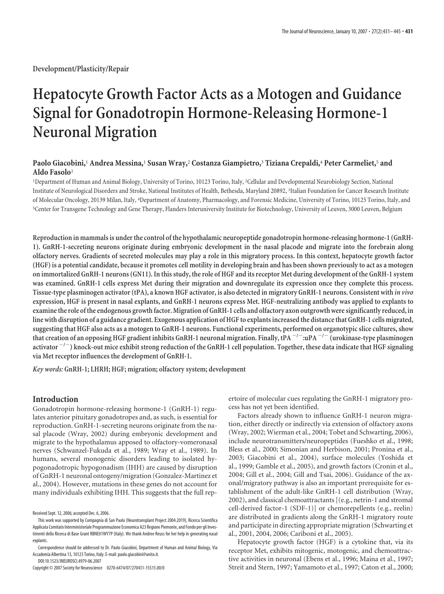**Development/Plasticity/Repair**

# **Hepatocyte Growth Factor Acts as a Motogen and Guidance Signal for Gonadotropin Hormone-Releasing Hormone-1 Neuronal Migration**

# **Paolo Giacobini,**<sup>1</sup> **Andrea Messina,**<sup>1</sup> **Susan Wray,**<sup>2</sup> **Costanza Giampietro,**<sup>3</sup> **Tiziana Crepaldi,**<sup>4</sup> **Peter Carmeliet,**<sup>5</sup> **and Aldo Fasolo**<sup>1</sup>

1 Department of Human and Animal Biology, University of Torino, 10123 Torino, Italy, <sup>2</sup> Cellular and Developmental Neurobiology Section, National Institute of Neurological Disorders and Stroke, National Institutes of Health, Bethesda, Maryland 20892, <sup>3</sup> Italian Foundation for Cancer Research Institute of Molecular Oncology, 20139 Milan, Italy, <sup>4</sup> Department of Anatomy, Pharmacology, and Forensic Medicine, University of Torino, 10125 Torino, Italy, and 5 Center for Transgene Technology and Gene Therapy, Flanders Interuniversity Institute for Biotechnology, University of Leuven, 3000 Leuven, Belgium

**Reproduction in mammals is under the control of the hypothalamic neuropeptide gonadotropin hormone-releasing hormone-1 (GnRH-1). GnRH-1-secreting neurons originate during embryonic development in the nasal placode and migrate into the forebrain along olfactory nerves. Gradients of secreted molecules may play a role in this migratory process. In this context, hepatocyte growth factor (HGF) is a potential candidate, because it promotes cell motility in developing brain and has been shown previously to act as a motogen on immortalized GnRH-1 neurons (GN11). In this study, the role of HGF and its receptor Met during development of the GnRH-1 system was examined. GnRH-1 cells express Met during their migration and downregulate its expression once they complete this process. Tissue-type plasminogen activator (tPA), a known HGF activator, is also detected in migratory GnRH-1 neurons. Consistent with** *in vivo* **expression, HGF is present in nasal explants, and GnRH-1 neurons express Met. HGF-neutralizing antibody was applied to explants to examinethe role ofthe endogenous growthfactor. Migration of GnRH-1 cells and olfactory axon outgrowth were significantly reduced, in line with disruption of a guidance gradient. Exogenous application of HGFto explants increasedthe distancethat GnRH-1 cells migrated, suggesting that HGF also acts as a motogen to GnRH-1 neurons. Functional experiments, performed on organotypic slice cultures, show that creation of an opposing HGF gradient inhibits GnRH-1 neuronal migration. Finally, tPA /:uPA / (urokinase-type plasminogen activator /) knock-out mice exhibit strong reduction of the GnRH-1 cell population. Together, these data indicate that HGF signaling via Met receptor influences the development of GnRH-1.**

*Key words:* **GnRH-1; LHRH; HGF; migration; olfactory system; development**

# **Introduction**

Gonadotropin hormone-releasing hormone-1 (GnRH-1) regulates anterior pituitary gonadotropes and, as such, is essential for reproduction. GnRH-1-secreting neurons originate from the nasal placode (Wray, 2002) during embryonic development and migrate to the hypothalamus apposed to olfactory-vomeronasal nerves (Schwanzel-Fukuda et al., 1989; Wray et al., 1989). In humans, several monogenic disorders leading to isolated hypogonadotropic hypogonadism (IHH) are caused by disruption of GnRH-1 neuronal ontogeny/migration (Gonzalez-Martinez et al., 2004). However, mutations in these genes do not account for many individuals exhibiting IHH. This suggests that the full rep-

DOI:10.1523/JNEUROSCI.4979-06.2007

Copyright © 2007 Society for Neuroscience 0270-6474/07/270431-15\$15.00/0

ertoire of molecular cues regulating the GnRH-1 migratory process has not yet been identified.

Factors already shown to influence GnRH-1 neuron migration, either directly or indirectly via extension of olfactory axons (Wray, 2002; Wierman et al., 2004; Tobet and Schwarting, 2006), include neurotransmitters/neuropeptides (Fueshko et al., 1998; Bless et al., 2000; Simonian and Herbison, 2001; Pronina et al., 2003; Giacobini et al., 2004), surface molecules (Yoshida et al., 1999; Gamble et al., 2005), and growth factors (Cronin et al., 2004; Gill et al., 2004; Gill and Tsai, 2006). Guidance of the axonal/migratory pathway is also an important prerequisite for establishment of the adult-like GnRH-1 cell distribution (Wray, 2002), and classical chemoattractants [(e.g., netrin-1 and stromal cell-derived factor-1 (SDF-1)] or chemorepellents (e.g., reelin) are distributed in gradients along the GnRH-1 migratory route and participate in directing appropriate migration (Schwarting et al., 2001, 2004, 2006; Cariboni et al., 2005).

Hepatocyte growth factor (HGF) is a cytokine that, via its receptor Met, exhibits mitogenic, motogenic, and chemoattractive activities in neuronal (Ebens et al., 1996; Maina et al., 1997; Streit and Stern, 1997; Yamamoto et al., 1997; Caton et al., 2000;

Received Sept. 12, 2006; accepted Dec. 6, 2006.

This work was supported by Compagnia di San Paolo (Neurotransplant Project 2004.2019), Ricerca Scientifica Applicata Comitato Interministeriale Programmazione Economica A23 Regione Piemonte, and Fondo per gli Investimenti della Ricerca di Base Grant RBNE01WY7P (Italy). We thank Andree Reuss for her help in generating nasal explants.

Correspondence should be addressed to Dr. Paolo Giacobini, Department of Human and Animal Biology, Via Accademia Albertina 13, 10123 Torino, Italy. E-mail: paolo.giacobini@unito.it.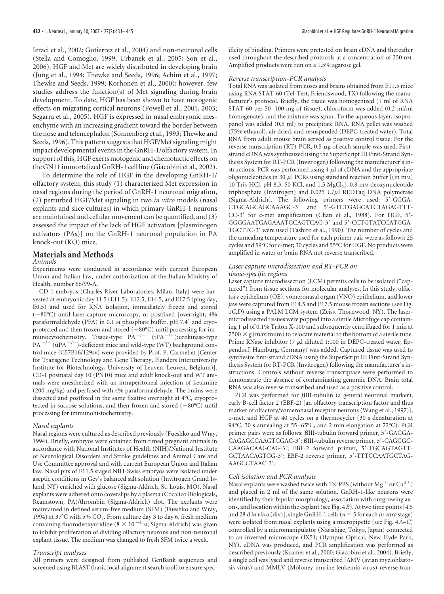Ieraci et al., 2002; Gutierrez et al., 2004) and non-neuronal cells (Stella and Comoglio, 1999; Urbanek et al., 2005; Son et al., 2006). HGF and Met are widely distributed in developing brain (Jung et al., 1994; Thewke and Seeds, 1996; Achim et al., 1997; Thewke and Seeds, 1999; Korhonen et al., 2000); however, few studies address the function(s) of Met signaling during brain development. To date, HGF has been shown to have motogenic effects on migrating cortical neurons (Powell et al., 2001, 2003; Segarra et al., 2005). HGF is expressed in nasal embryonic mesenchyme with an increasing gradient toward the border between the nose and telencephalon (Sonnenberg et al., 1993; Thewke and Seeds, 1996). This pattern suggests that HGF/Met signaling might impact developmental events in the GnRH-1/olfactory system. In support of this, HGF exerts motogenic and chemotactic effects on the GN11 immortalized GnRH-1 cell line (Giacobini et al., 2002).

To determine the role of HGF in the developing GnRH-1/ olfactory system, this study (1) characterized Met expression in nasal regions during the period of GnRH-1 neuronal migration, (2) perturbed HGF/Met signaling in two *in vitro* models (nasal explants and slice cultures) in which primary GnRH-1 neurons are maintained and cellular movement can be quantified, and (3) assessed the impact of the lack of HGF activators [plasminogen activators (PAs)] on the GnRH-1 neuronal population in PA knock-out (KO) mice.

# **Materials and Methods**

## *Animals*

Experiments were conducted in accordance with current European Union and Italian law, under authorization of the Italian Ministry of Health, number 66/99-A.

CD-1 embryos (Charles River Laboratories, Milan, Italy) were harvested at embryonic day 11.5 (E11.5), E12.5, E14.5, and E17.5 (plug day, E0.5) and used for RNA isolation, immediately frozen and stored  $(-80^{\circ}$ C) until laser-capture microscopy, or postfixed [overnight; 4% paraformaldehyde (PFA) in 0.1 M phosphate buffer, pH 7.4] and cryoprotected and then frozen and stored  $(-80^{\circ}C)$  until processing for immunocytochemistry. Tissue-type  $PA^{-/-}$  (tPA<sup> $-/-$ </sup>):urokinase-type  $PA^{-/-}$  (uPA<sup> $-/-$ </sup>)-deficient mice and wild-type (WT) background control mice (C57B16/129sv) were provided by Prof. P. Carmeliet [Center for Transgene Technology and Gene Therapy, Flanders Interuniversity Institute for Biotechnology, University of Leuven, Leuven, Belgium)]. CD-1 postnatal day 10 (PN10) mice and adult knock-out and WT animals were anesthetized with an intraperitoneal injection of ketamine (200 mg/kg) and perfused with 4% paraformaldehyde. The brains were dissected and postfixed in the same fixative overnight at 4°C, cryoprotected in sucrose solutions, and then frozen and stored  $(-80^{\circ}C)$  until processing for immunohistochemistry.

## *Nasal explants*

Nasal regions were cultured as described previously (Fueshko and Wray, 1994). Briefly, embryos were obtained from timed pregnant animals in accordance with National Institutes of Health (NIH)/National Institute of Neurological Disorders and Stroke guidelines and Animal Care and Use Committee approval and with current European Union and Italian law. Nasal pits of E11.5 staged NIH-Swiss embryos were isolated under aseptic conditions in Gey's balanced salt solution (Invitrogen Grand Island, NY) enriched with glucose (Sigma-Aldrich, St. Louis, MO). Nasal explants were adhered onto coverslips by a plasma (Cocalico Biologicals, Reamstown, PA)/thrombin (Sigma-Aldrich) clot. The explants were maintained in defined serum-free medium (SFM) (Fueshko and Wray, 1994) at 37°C with 5%  $CO<sub>2</sub>$ . From culture day 3 to day 6, fresh medium containing fluorodeoxyuridine ( $8 \times 10^{-5}$  M; Sigma-Aldrich) was given to inhibit proliferation of dividing olfactory neurons and non-neuronal explant tissue. The medium was changed to fresh SFM twice a week.

### *Transcript analyses*

All primers were designed from published GenBank sequences and screened using BLAST (basic local alignment search tool) to ensure specificity of binding. Primers were pretested on brain cDNA and thereafter used throughout the described protocols at a concentration of 250 nM. Amplified products were run on a 1.5% agarose gel.

#### *Reverse transcription-PCR analysis*

Total RNA was isolated from noses and brains obtained from E11.5 mice using RNA STAT-60 (Tel-Test, Friendswood, TX) following the manufacturer's protocol. Briefly, the tissue was homogenized (1 ml of RNA STAT-60 per 50 –100 mg of tissue), chloroform was added (0.2 ml/ml homogenate), and the mixture was spun. To the aqueous layer, isopropanol was added (0.5 ml) to precipitate RNA. RNA pellet was washed (75% ethanol), air dried, and resuspended (DEPC-treated water). Total RNA from adult mouse brain served as positive control tissue. For the reverse transcription (RT)-PCR, 0.5  $\mu$ g of each sample was used. Firststrand cDNA was synthesized using the SuperScript III First-Strand Synthesis System for RT-PCR (Invitrogen) following the manufacturer's instructions. PCR was performed using  $4 \mu$ l of cDNA and the appropriate oligonucleotides in 30  $\mu$ l PCRs using standard reaction buffer [(in mM) 10 Tris-HCl, pH 8.3, 50 KCl, and 1.5 MgCl<sub>2</sub>], 0.8 mm deoxynucleotide triphosphate (Invitrogen) and  $0.025$  U/ $\mu$ l REDTaq DNA polymerase (Sigma-Aldrich). The following primers were used: 5-GGGA-CTGCAGCAGCAAAGC-3' and 5'-GTCTGAGCATCTAGAGTTT-CC-3' for c-met amplification (Chan et al., 1988). For HGF, 5'-GGGGAATGAGAAATGCAGTCAG-3' and 5'-CCTGTATCCATGGA-TGCTTC-3' were used (Tashiro et al., 1990). The number of cycles and the annealing temperature used for each primer pair were as follows: 25 cycles and 59°C for c-met; 30 cycles and 55°C for HGF. No products were amplified in water or brain RNA not reverse transcribed.

## *Laser capture microdissection and RT-PCR on tissue-specific regions*

Laser capture microdissection (LCM) permits cells to be isolated ("captured") from tissue sections for molecular analyses. In this study, olfactory epithelium (OE), vomeronasal organ (VNO) epithelium, and lower jaw were captured from E14.5 and E17.5 mouse frozen sections (see Fig. 1*C*,*D*) using a PALM LCM system (Zeiss, Thornwood, NY). The lasermicrodissected tissues were popped into a sterile Microfuge cap containing 1  $\mu$ l of 0.1% Triton X-100 and subsequently centrifuged for 1 min at  $7500 \times g$  (maximum) to relocate material to the bottom of a sterile tube. Prime RNase inhibitor (7  $\mu$ l diluted 1:100 in DEPC-treated water; Eppendorf, Hamburg, Germany) was added. Captured tissue was used to synthesize first-strand cDNA using the SuperScript III First-Strand Synthesis System for RT-PCR (Invitrogen) following the manufacturer's instructions. Controls without reverse transcriptase were performed to demonstrate the absence of contaminating genomic DNA. Brain total RNA was also reverse transcribed and used as a positive control.

PCR was performed for *βIII-tubulin* (a general neuronal marker), early B-cell factor 2 (EBF-2) [an olfactory transcription factor and thus marker of olfactory/vomeronasal receptor neurons (Wang et al., 1997)], c-met, and HGF at 40 cycles on a thermocycler (30 s denaturation at 94°C, 30 s annealing at 55–65°C, and 2 min elongation at 72°C). PCR primer pairs were as follows:  $\beta$ III-tubulin forward primer, 5'-GAGGA-CAGAGCCAAGTGGAC-3';  $\beta$ III-tubulin reverse primer, 5'-CAGGGC-CAAGACAAGCAG-3; EBF-2 forward primer, 5-TGCAGTAGTT-GCTAACAGTGG-3; EBF-2 reverse primer, 5-TTTCCAATGCTAG-AAGCCTAAC-3.

### *Cell isolation and PCR analysis*

Nasal explants were washed twice with  $1\times$  PBS (without Mg  $^+$  or Ca<sup>2+</sup>) and placed in 2 ml of the same solution. GnRH-1-like neurons were identified by their bipolar morphology, association with outgrowing axons, and location within the explant (see Fig. 4*B*). At two time points [4.5 and 28 d *in vitro* (div)], single GnRH-1 cells (*n* 5 for each *in vitro* stage) were isolated from nasal explants using a micropipette (see Fig. 4*A–C*) controlled by a micromanipulator (Narishige, Tokyo, Japan) connected to an inverted microscope (IX51; Olympus Optical, New Hyde Park, NY), cDNA was produced, and PCR amplification was performed as described previously (Kramer et al., 2000; Giacobini et al., 2004). Briefly, a single cell was lysed and reverse transcribed [AMV (avian myeloblastosis virus) and MMLV (Moloney murine leukemia virus)-reverse tran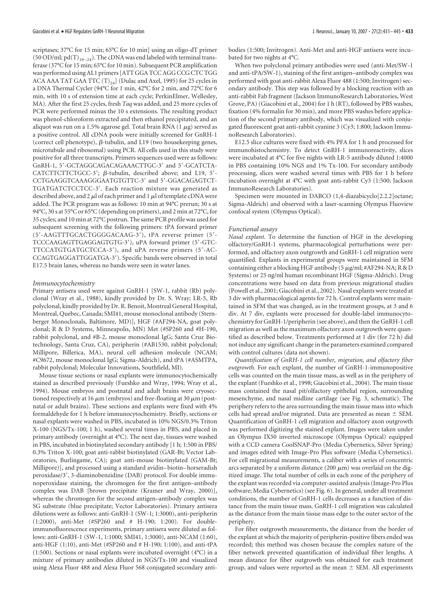scriptases; 37°C for 15 min; 65°C for 10 min] using an oligo-dT primer (50 OD/ml;  $pd(T)_{19-24}$ ). The cDNA was end labeled with terminal transferase (37°C for 15 min; 65°C for 10 min). Subsequent PCR amplification was performed using AL1 primers [ATT GGA TCC AGG CCG CTC TGG ACA AAA TAT GAA TTC  $(T)_{24}$ ] (Dulac and Axel, 1995) for 25 cycles in a DNA Thermal Cycler (94°C for 1 min, 42°C for 2 min, and 72°C for 6 min, with 10 s of extension time at each cycle; PerkinElmer, Wellesley, MA). After the first 25 cycles, fresh *Taq* was added, and 25 more cycles of PCR were performed minus the 10 s extensions. The resulting product was phenol-chloroform extracted and then ethanol precipitated, and an aliquot was run on a 1.5% agarose gel. Total brain RNA (1  $\mu$ g) served as a positive control. All cDNA pools were initially screened for GnRH-1 (correct cell phenotype),  $\beta$ -tubulin, and L19 (two housekeeping genes, microtubule and ribosomal) using PCR. All cells used in this study were positive for all three transcripts. Primers sequences used were as follows: GnRH-1, 5'-GCTAGGCAGACAGAAACTTGC-3' and 5'-GCATCTA- $CATCTTCTTCTGCC-3';$   $\beta$ -tubulin, described above; and L19, 5'-CCTGAAGGTCAAAGGGAATGTGTTC-3' and 5'-GGACAGAGTCT-TGATGATCTCCTCC-3'. Each reaction mixture was generated as described above, and 2  $\mu$ l of each primer and 1  $\mu$ l of template cDNA were added. The PCR program was as follows: 10 min at 94°C prerun; 30 s at 94°C, 30 s at 55°C or 65°C (depending on primers), and 2 min at 72°C, for 35 cycles; and 10 min at 72°C postrun. The same PCR profile was used for subsequent screening with the following primers: tPA forward primer (5-AAGTTTGCACTGGGGACAAG-3), tPA reverse primer (5- TCCCAAGAGTTGAGGAGTGTG-3), uPA forward primer (5-GTC-TTCCATGTGATGCTCCA-3), and uPA reverse primers (5-AC-CCAGTGAGGATTGGATGA-3). Specific bands were observed in total E17.5 brain lanes, whereas no bands were seen in water lanes.

#### *Immunocytochemistry*

Primary antisera used were against GnRH-1 [SW-1, rabbit (Rb) polyclonal (Wray et al., 1988), kindly provided by Dr. S. Wray; LR-5, Rb polyclonal, kindly provided by Dr. R. Benoit, Montreal General Hospital, Montreal, Quebec, Canada; SMI41, mouse monoclonal antibody (Sternberger Monoclonals, Baltimore, MD)], HGF (#AF294-NA, goat polyclonal;R&D Systems, Minneapolis, MN) Met (#SP260 and #H-190, rabbit polyclonal, and #B-2, mouse monoclonal IgG; Santa Cruz Biotechnology, Santa Cruz, CA), peripherin (#AB1530, rabbit polyclonal; Millipore, Billerica, MA), neural cell adhesion molecule (NCAM; #C9672, mouse monoclonal IgG; Sigma-Aldrich), and tPA (#ASMTPA, rabbit polyclonal; Molecular Innovations, Southfield, MI).

Mouse tissue sections or nasal explants were immunocytochemically stained as described previously (Fueshko and Wray, 1994; Wray et al., 1994). Mouse embryos and postnatal and adult brains were cryosectioned respectively at 16  $\mu$ m (embryos) and free-floating at 30  $\mu$ m (postnatal or adult brains). These sections and explants were fixed with 4% formaldehyde for 1 h before immunocytochemistry. Briefly, sections or nasal explants were washed in PBS, incubated in 10% NGS/0.3% Triton X-100 (NGS/Tx-100; 1 h), washed several times in PBS, and placed in primary antibody (overnight at 4°C). The next day, tissues were washed in PBS, incubated in biotinylated secondary antibody [1 h; 1:500 in PBS/ 0.3% Triton X-100; goat anti-rabbit biotinylated (GAR-Bt; Vector Laboratories, Burlingame, CA); goat anti-mouse biotinylated (GAM-Bt; Millipore)], and processed using a standard avidin– biotin– horseradish peroxidase/3', 3-diaminobenzidine (DAB) protocol. For double immunoperoxidase staining, the chromogen for the first antigen–antibody complex was DAB [brown precipitate (Kramer and Wray, 2000)], whereas the chromogen for the second antigen–antibody complex was SG substrate (blue precipitate; Vector Laboratories). Primary antisera dilutions were as follows: anti-GnRH-1 (SW-1; 1:3000), anti-peripherin (1:2000), anti-Met (#SP260 and # H-190; 1:200). For doubleimmunofluorescence experiments, primary antisera were diluted as follows: anti-GnRH-1 (SW-1, 1:1000; SMI41, 1:3000), anti-NCAM (1:60), anti-HGF (1:10), anti-Met (#SP260 and # H-190; 1:100), and anti-tPA (1:500). Sections or nasal explants were incubated overnight (4°C) in a mixture of primary antibodies diluted in NGS/Tx-100 and visualized using Alexa Fluor 488 and Alexa Fluor 568 conjugated secondary antibodies (1:500; Invitrogen). Anti-Met and anti-HGF antisera were incubated for two nights at 4°C.

When two polyclonal primary antibodies were used (anti-Met/SW-1 and anti-tPA/SW-1), staining of the first antigen–antibody complex was performed with goat anti-rabbit Alexa Fluor 488 (1:500; Invitrogen) secondary antibody. This step was followed by a blocking reaction with an anti-rabbit Fab fragment (Jackson ImmunoResearch Laboratories, West Grove, PA) (Giacobini et al., 2004) for 1 h (RT), followed by PBS washes, fixation (4% formalin for 30 min), and more PBS washes before application of the second primary antibody, which was visualized with conjugated fluorescent goat anti-rabbit cyanine 3 (Cy3; 1:800; Jackson ImmunoResearch Laboratories).

E12.5 slice cultures were fixed with 4% PFA for 1 h and processed for immunohistochemistry. To detect GnRH-1 immunoreactivity, slices were incubated at 4°C for five nights with LR-5 antibody diluted 1:4000 in PBS containing 10% NGS and 1% Tx-100. For secondary antibody processing, slices were washed several times with PBS for 1 h before incubation overnight at 4°C with goat anti-rabbit Cy3 (1:500; Jackson ImmunoResearch Laboratories).

Specimen were mounted in DABCO (1,4-diazabicyclo[2.2.2]octane; Sigma-Aldrich) and observed with a laser-scanning Olympus Fluoview confocal system (Olympus Optical).

#### *Functional assays*

*Nasal explant.* To determine the function of HGF in the developing olfactory/GnRH-1 systems, pharmacological perturbations were performed, and olfactory axon outgrowth and GnRH-1 cell migration were quantified. Explants in experimental groups were maintained in SFM containing either a blocking HGF antibody (5  $\mu$ g/ml; #AF294-NA; R & D Systems) or 25 ng/ml human recombinant HGF (Sigma-Aldrich). Drug concentrations were based on data from previous migrational studies (Powell et al., 2001; Giacobini et al., 2002). Nasal explants were treated at 3 div with pharmacological agents for 72 h. Control explants were maintained in SFM that was changed, as in the treatment groups, at 3 and 6 div. At 7 div, explants were processed for double-label immunocytochemistry for GnRH-1/peripherin (see above), and then the GnRH-1 cell migration as well as the maximum olfactory axon outgrowth were quantified as described below. Treatments performed at 1 div (for 72 h) did not induce any significant change in the parameters examined compared with control cultures (data not shown).

*Quantification of GnRH-1 cell number, migration, and olfactory fiber outgrowth.* For each explant, the number of GnRH-1-immunopositive cells was counted on the main tissue mass, as well as in the periphery of the explant (Fueshko et al., 1998; Giacobini et al., 2004). The main tissue mass contained the nasal pit/olfactory epithelial region, surrounding mesenchyme, and nasal midline cartilage (see Fig. 3, schematic). The periphery refers to the area surrounding the main tissue mass into which cells had spread and/or migrated. Data are presented as mean  $\pm$  SEM. Quantification of GnRH-1 cell migration and olfactory axon outgrowth was performed digitizing the stained explant. Images were taken under an Olympus IX50 inverted microscope (Olympus Optical) equipped with a CCD camera CoolSNAP-Pro (Media Cybernetics, Silver Spring) and images edited with Image-Pro Plus software (Media Cybernetics). For cell migrational measurements, a caliber with a series of concentric arcs separated by a uniform distance (200  $\mu$ m) was overlaid on the digitized image. The total number of cells in each zone of the periphery of the explant was recorded via computer-assisted analysis (Image-Pro Plus software; Media Cybernetics) (see Fig. 6). In general, under all treatment conditions, the number of GnRH-1 cells decreases as a function of distance from the main tissue mass. GnRH-1 cell migration was calculated as the distance from the main tissue mass edge to the outer sector of the periphery.

For fiber outgrowth measurements, the distance from the border of the explant at which the majority of peripherin-positive fibers ended was recorded; this method was chosen because the complex nature of the fiber network prevented quantification of individual fiber lengths. A mean distance for fiber outgrowth was obtained for each treatment group, and values were reported as the mean  $\pm$  SEM. All experiments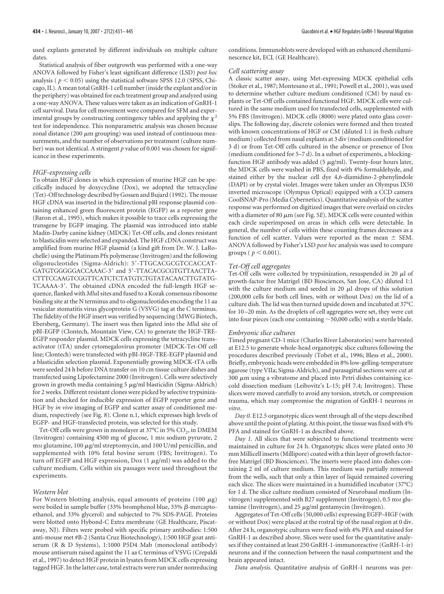used explants generated by different individuals on multiple culture dates.

Statistical analysis of fiber outgrowth was performed with a one-way ANOVA followed by Fisher's least significant difference (LSD) *post hoc* analysis ( $p < 0.05$ ) using the statistical software SPSS 12.0 (SPSS, Chicago, IL). A mean total GnRH-1 cell number (inside the explant and/or in the periphery) was obtained for each treatment group and analyzed using a one-way ANOVA. These values were taken as an indication of GnRH-1 cell survival. Data for cell movement were compared for SFM and experimental groups by constructing contingency tables and applying the  $\chi^2$ test for independence. This nonparametric analysis was chosen because zonal distance (200  $\mu$ m grouping) was used instead of continuous measurements, and the number of observations per treatment (culture number) was not identical. A stringent *p* value of 0.001 was chosen for significance in these experiments.

### *HGF-expressing cells*

To obtain HGF clones in which expression of murine HGF can be specifically induced by doxycycline (Dox), we adopted the tetracycline (Tet)-Off technology described by Gossen and Bujard (1992). The mouse HGF cDNA was inserted in the bidirectional pBI response plasmid containing enhanced green fluorescent protein (EGFP) as a reporter gene (Baron et al., 1995), which makes it possible to trace cells expressing the transgene by EGFP imaging. The plasmid was introduced into stable Madin-Darby canine kidney (MDCK) Tet-Off cells, and clones resistant to blasticidin were selected and expanded. The HGF cDNA construct was amplified from murine HGF plasmid (a kind gift from Dr. W. J. LaRochelle) using the Platinum Pfx polymerase (Invitrogen) and the following oligonucleotides (Sigma-Aldrich): 5'-TTGCACGCGTCCACCAT-GATGTGGGGGACCAAAC-3' and 5'-TTACACGCGTGTTAACTTA-CTTTCCAAGTCGGTTCATCTCTATGTCTGTATACAACTTGTATG-TCAAAA-3'. The obtained cDNA encoded the full-length HGF sequence, flanked with *Mlu*I sites and fused to a Kozak consensus ribosome binding site at the N terminus and to oligonucleotides encoding the 11 aa vesicular stomatitis virus glycoprotein G (VSVG) tag at the C terminus. The fidelity of the HGF insert was verified by sequencing (MWG Biotech, Ebersberg, Germany). The insert was then ligated into the *Mlu*I site of pBI-EGFP (Clontech, Mountain View, CA) to generate the HGF-TRE-EGFP responder plasmid. MDCK cells expressing the tetracycline transactivator (tTA) under cytomegalovirus promoter (MDCK-Tet-Off cell line; Clontech) were transfected with pBI-HGF-TRE-EGFP plasmid and a blasticidin selection plasmid. Exponentially growing MDCK-tTA cells were seeded 24 h before DNA transfer on 10 cm tissue culture dishes and transfected using Lipofectamine 2000 (Invitrogen). Cells were selectively grown in growth media containing  $5 \mu$ g/ml blasticidin (Sigma-Aldrich) for 2 weeks. Different resistant clones were picked by selective trypsinization and checked for inducible expression of EGFP reporter gene and HGF by *in vivo* imaging of EGFP and scatter assay of conditioned medium, respectively (see Fig. 8). Clone n.1, which expresses high levels of EGFP- and HGF-transfected protein, was selected for this study.

Tet-Off cells were grown in monolayer at 37°C in 5%  $CO<sub>2</sub>$ , in DMEM (Invitrogen) containing 4500 mg of glucose, 1 mm sodium pyruvate, 2  $m$  glutamine, 100  $\mu$ g/ml streptomycin, and 100 U/ml penicillin, and supplemented with 10% fetal bovine serum (FBS; Invitrogen). To turn off EGFP and HGF expression,  $Dox(1 \mu g/ml)$  was added to the culture medium. Cells within six passages were used throughout the experiments.

#### *Western blot*

For Western blotting analysis, equal amounts of proteins (100  $\mu$ g) were boiled in sample buffer (33% bromphenol blue, 33%  $\beta$ -mercaptoethanol, and 33% glycerol) and subjected to 7% SDS-PAGE. Proteins were blotted onto Hybond-C Extra membrane (GE Healthcare, Piscataway, NJ). Filters were probed with specific primary antibodies: 1:500 anti-mouse met #B-2 (Santa Cruz Biotechnology), 1:500 HGF goat antiserum (R & D Systems), 1:1000 P5D4 Mab (monoclonal antibody) mouse antiserum raised against the 11 aa C terminus of VSVG (Crepaldi et al., 1997) to detect HGF protein in lysates from MDCK cells expressing tagged HGF. In the latter case, total extracts were run under nonreducing conditions. Immunoblots were developed with an enhanced chemiluminescence kit, ECL (GE Healthcare).

## *Cell scattering assay*

A classic scatter assay, using Met-expressing MDCK epithelial cells (Stoker et al., 1987; Montesano et al., 1991; Powell et al., 2001), was used to determine whether culture medium conditioned (CM) by nasal explants or Tet-Off cells contained functional HGF. MDCK cells were cultured in the same medium used for transfected cells, supplemented with 5% FBS (Invitrogen). MDCK cells (8000) were plated onto glass coverslips. The following day, discrete colonies were formed and then treated with known concentrations of HGF or CM (diluted 1:1 in fresh culture medium) collected from nasal explants at 3 div (medium conditioned for 3 d) or from Tet-Off cells cultured in the absence or presence of Dox (medium conditioned for 5–7 d). In a subset of experiments, a blockingfunction HGF antibody was added  $(5 \mu g/ml)$ . Twenty-four hours later, the MDCK cells were washed in PBS, fixed with 4% formaldehyde, and stained either by the nuclear cell dye 4,6-diamidino-2-phenylindole (DAPI) or by crystal violet. Images were taken under an Olympus IX50 inverted microscope (Olympus Optical) equipped with a CCD camera CoolSNAP-Pro (Media Cybernetics). Quantitative analysis of the scatter response was performed on digitized images that were overlaid on circles with a diameter of 80  $\mu$ m (see Fig. 5*E*). MDCK cells were counted within each circle superimposed on areas in which cells were detectable. In general, the number of cells within these counting frames decreases as a function of cell scatter. Values were reported as the mean  $\pm$  SEM. ANOVA followed by Fisher's LSD *post hoc* analysis was used to compare groups ( $p < 0.001$ ).

#### *Tet-Off cell aggregates*

Tet-Off cells were collected by trypsinization, resuspended in 20  $\mu$ l of growth-factor free Matrigel (BD Biosciences, San Jose, CA) diluted 1:1 with the culture medium and seeded in 20  $\mu$ l drops of this solution (200,000 cells for both cell lines, with or without Dox) on the lid of a culture dish. The lid was then turned upside down and incubated at 37°C for 10 –20 min. As the droplets of cell aggregates were set, they were cut into four pieces (each one containing  $\sim$  50,000 cells) with a sterile blade.

## *Embryonic slice cultures*

Timed pregnant CD-1 mice (Charles River Laboratories) were harvested at E12.5 to generate whole-head organotypic slice cultures following the procedures described previously (Tobet et al., 1996; Bless et al., 2000). Briefly, embryonic heads were embedded in 8% low-gelling-temperature agarose (type VIIa; Sigma-Aldrich), and parasagittal sections were cut at  $300 \mu m$  using a vibratome and placed into Petri dishes containing icecold dissection medium (Leibovitz's L-15; pH 7.4; Invitrogen). These slices were moved carefully to avoid any torsion, stretch, or compression trauma, which may compromise the migration of GnRH-1 neurons *in vitro*.

*Day 0.* E12.5 organotypic slices went through all of the steps described above until the point of plating. At this point, the tissue was fixed with 4% PFA and stained for GnRH-1 as described above.

*Day 1.* All slices that were subjected to functional treatments were maintained in culture for 24 h. Organotypic slices were plated onto 30 mm Millicell inserts (Millipore) coated with a thin layer of growth factorfree Matrigel (BD Biosciences). The inserts were placed into dishes containing 2 ml of culture medium. This medium was partially removed from the wells, such that only a thin layer of liquid remained covering each slice. The slices were maintained in a humidified incubator (37°C) for 1 d. The slice culture medium consisted of Neurobasal medium (Invitrogen) supplemented with B27 supplement (Invitrogen), 0.5 mm glutamine (Invitrogen), and  $25 \mu g/ml$  gentamycin (Invitrogen).

Aggregates of Tet-Off cells (50,000 cells) expressing EGFP–HGF (with or without Dox) were placed at the rostral tip of the nasal region at 0 div. After 24 h, organotypic cultures were fixed with 4% PFA and stained for GnRH-1 as described above. Slices were used for the quantitative analyses if they contained at least 250 GnRH-1-immunoreactive (GnRH-1-ir) neurons and if the connection between the nasal compartment and the brain appeared intact.

*Data analysis.* Quantitative analysis of GnRH-1 neurons was per-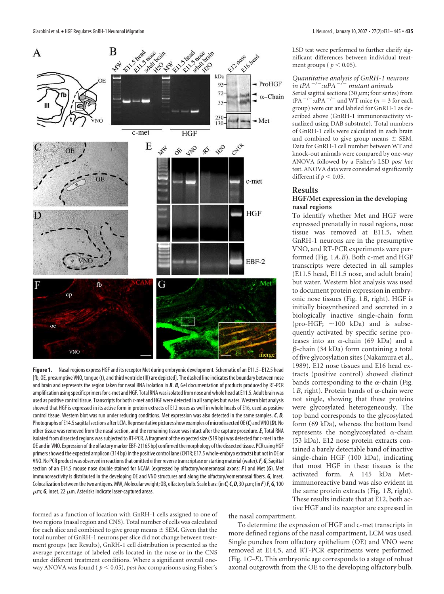

**Figure 1.** Nasal regions express HGF and its receptor Met during embryonic development. Schematic of an E11.5–E12.5 head [fb, OE, presumptive VNO, tongue (t), and third ventricle (III) are depicted]. The dashed line indicates the boundary between nose and brain and represents the region taken for nasal RNA isolation in *B*. *B*, Gel documentation of products produced by RT-PCR amplification using specific primers for c-met and HGF. Total RNA was isolated from nose and whole head at E11.5. Adult brain was used as positive control tissue. Transcripts for both c-met and HGF were detected in all samples but water. Western blot analysis showed that HGF is expressed in its active form in protein extracts of E12 noses as well in whole heads of E16, used as positive control tissue. Western blot was run under reducing conditions. Met expression was also detected in the same samples. *C*, *D*, Photographs of E14.5 sagittal sections after LCM. Representative pictures show examples of microdissected OE(C) and VNO(D). No other tissue was removed from the nasal section, and the remaining tissue was intact after the capture procedure.*E*, Total RNA isolated from dissected regions was subjected to RT-PCR. A fragment of the expected size (519 bp) was detected for c-met in the OE and in VNO. Expression ofthe olfactorymarker EBF-2(165 bp) confirmedthemorphology ofthe dissectedtissue. PCR usingHGF primers showed the expected amplicon (314 bp) in the positive control lane (CNTR; E17.5 whole-embryo extracts) but not in OE or VNO.No PCR productwas observed inreactionsthat omitted eitherreversetranscriptase orstartingmaterial(water).*F*,*G*, Sagittal section of an E14.5 mouse nose double stained for NCAM (expressed by olfactory/vomeronasal axons; *F*) and Met (*G*). Met immunoreactivity is distributed in the developing OE and VNO structures and along the olfactory/vomeronasal fibers. *G*, Inset, Colocalization between the two antigens. MW, Molecular weight; OB, olfactory bulb. Scale bars: (in *C*) *C*, *D*, 30  $\mu$ m; (in *F*) *F*, *G*, 100  $\mu$ m; **G**, inset, 22  $\mu$ m. Asterisks indicate laser-captured areas.

formed as a function of location with GnRH-1 cells assigned to one of two regions (nasal region and CNS). Total number of cells was calculated for each slice and combined to give group means  $\pm$  SEM. Given that the total number of GnRH-1 neurons per slice did not change between treatment groups (see Results), GnRH-1 cell distribution is presented as the average percentage of labeled cells located in the nose or in the CNS under different treatment conditions. Where a significant overall oneway ANOVA was found ( $p < 0.05$ ), *post hoc* comparisons using Fisher's

LSD test were performed to further clarify significant differences between individual treatment groups ( $p < 0.05$ ).

*Quantitative analysis of GnRH-1 neurons in tPA*  $^{-/-}$ : $uPA$   $^{-/-}$  *mutant animals* Serial sagittal sections (30  $\mu$ m; four series) from  $tPA^{-/-}$ :uPA<sup> $-/-$ </sup> and WT mice (*n* = 3 for each group) were cut and labeled for GnRH-1 as described above (GnRH-1 immunoreactivity visualized using DAB substrate). Total numbers of GnRH-1 cells were calculated in each brain and combined to give group means  $\pm$  SEM. Data for GnRH-1 cell number between WT and knock-out animals were compared by one-way ANOVA followed by a Fisher's LSD *post hoc* test. ANOVA data were considered significantly different if  $p < 0.05$ .

## **Results**

# **HGF/Met expression in the developing nasal regions**

To identify whether Met and HGF were expressed prenatally in nasal regions, nose tissue was removed at E11.5, when GnRH-1 neurons are in the presumptive VNO, and RT-PCR experiments were performed (Fig. 1*A*,*B*). Both c-met and HGF transcripts were detected in all samples (E11.5 head, E11.5 nose, and adult brain) but water. Western blot analysis was used to document protein expression in embryonic nose tissues (Fig. 1*B*, right). HGF is initially biosynthesized and secreted in a biologically inactive single-chain form (pro-HGF;  $\sim$ 100 kDa) and is subsequently activated by specific serine proteases into an  $\alpha$ -chain (69 kDa) and a β-chain (34 kDa) form containing a total of five glycosylation sites (Nakamura et al., 1989). E12 nose tissues and E16 head extracts (positive control) showed distinct bands corresponding to the  $\alpha$ -chain (Fig. 1*B*, right). Protein bands of  $\alpha$ -chain were not single, showing that these proteins were glycosylated heterogeneously. The top band corresponds to the glycosylated form (69 kDa), whereas the bottom band represents the nonglycosylated  $\alpha$ -chain (53 kDa). E12 nose protein extracts contained a barely detectable band of inactive single-chain HGF (100 kDa), indicating that most HGF in these tissues is the activated form. A 145 kDa Metimmunoreactive band was also evident in the same protein extracts (Fig. 1*B*, right). These results indicate that at E12, both active HGF and its receptor are expressed in

the nasal compartment.

To determine the expression of HGF and c-met transcripts in more defined regions of the nasal compartment, LCM was used. Single punches from olfactory epithelium (OE) and VNO were removed at E14.5, and RT-PCR experiments were performed (Fig. 1*C–E*). This embryonic age corresponds to a stage of robust axonal outgrowth from the OE to the developing olfactory bulb.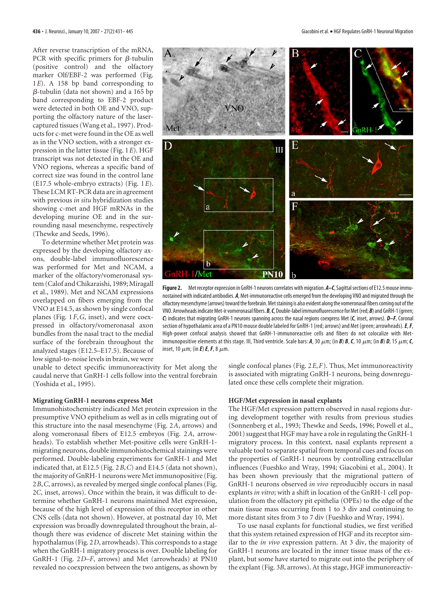After reverse transcription of the mRNA, PCR with specific primers for  $\beta$ -tubulin (positive control) and the olfactory marker Olf/EBF-2 was performed (Fig. 1*E*). A 158 bp band corresponding to --tubulin (data not shown) and a 165 bp band corresponding to EBF-2 product were detected in both OE and VNO, supporting the olfactory nature of the lasercaptured tissues (Wang et al., 1997). Products for c-met were found in the OE as well as in the VNO section, with a stronger expression in the latter tissue (Fig. 1*E*). HGF transcript was not detected in the OE and VNO regions, whereas a specific band of correct size was found in the control lane (E17.5 whole-embryo extracts) (Fig. 1*E*). These LCM RT-PCR data are in agreement with previous *in situ* hybridization studies showing c-met and HGF mRNAs in the developing murine OE and in the surrounding nasal mesenchyme, respectively (Thewke and Seeds, 1996).

To determine whether Met protein was expressed by the developing olfactory axons, double-label immunofluorescence was performed for Met and NCAM, a marker of the olfactory/vomeronasal system (Calof and Chikaraishi, 1989; Miragall et al., 1989). Met and NCAM expressions overlapped on fibers emerging from the VNO at E14.5, as shown by single confocal planes (Fig. 1*F*,*G*, inset), and were coexpressed in olfactory/vomeronasal axon bundles from the nasal tract to the medial surface of the forebrain throughout the analyzed stages (E12.5–E17.5). Because of low signal-to-noise levels in brain, we were



**Figure 2.** Met receptor expression in GnRH-1 neurons correlates with migration. *A–C*, Sagittalsections of E12.5 mouse immunostained with indicated antibodies. *A*, Met-immunoreactive cells emerged from the developing VNO and migrated through the olfactory mesenchyme (arrows) toward the forebrain. Met staining is also evident along the vomeronasal fibers coming out of the VNO. Arrowheads indicate Met-ir vomeronasal fibers. B, C, Double-label immunofluorescence for Met (red; B) and GnRH-1 (green; *C*) indicates that migrating GnRH-1 neurons spanning across the nasal regions coexpress Met (*C*, inset, arrows). *D–F*, Coronal section of hypothalamic area of a PN10 mouse double labeled for GnRH-1 (red; arrows) and Met (green; arrowheads).*E*,*F*, High-power confocal analysis showed that GnRH-1-immunoreactive cells and fibers do not colocalize with Metimmunopositive elements at this stage. III, Third ventricle. Scale bars:  $A$ , 30  $\mu$ m; (in *B*) *B*, *C*, 10  $\mu$ m; (in *B*) *D*, 15  $\mu$ m; *C*, inset, 10  $\mu$ m; (in **E**) **E**, **F**, 8  $\mu$ m.

unable to detect specific immunoreactivity for Met along the caudal nerve that GnRH-1 cells follow into the ventral forebrain (Yoshida et al., 1995).

## **Migrating GnRH-1 neurons express Met**

Immunohistochemistry indicated Met protein expression in the presumptive VNO epithelium as well as in cells migrating out of this structure into the nasal mesenchyme (Fig. 2*A*, arrows) and along vomeronasal fibers of E12.5 embryos (Fig. 2*A*, arrowheads). To establish whether Met-positive cells were GnRH-1 migrating neurons, double immunohistochemical stainings were performed. Double-labeling experiments for GnRH-1 and Met indicated that, at E12.5 (Fig. 2*B*,*C*) and E14.5 (data not shown), the majority of GnRH-1 neurons were Met immunopositive (Fig. 2*B*,*C*, arrows), as revealed by merged single confocal planes (Fig. 2*C*, inset, arrows). Once within the brain, it was difficult to determine whether GnRH-1 neurons maintained Met expression, because of the high level of expression of this receptor in other CNS cells (data not shown). However, at postnatal day 10, Met expression was broadly downregulated throughout the brain, although there was evidence of discrete Met staining within the hypothalamus (Fig. 2*D*, arrowheads). This corresponds to a stage when the GnRH-1 migratory process is over. Double labeling for GnRH-1 (Fig. 2*D–F*, arrows) and Met (arrowheads) at PN10 revealed no coexpression between the two antigens, as shown by

single confocal planes (Fig. 2*E*,*F*). Thus, Met immunoreactivity is associated with migrating GnRH-1 neurons, being downregulated once these cells complete their migration.

## **HGF/Met expression in nasal explants**

The HGF/Met expression pattern observed in nasal regions during development together with results from previous studies (Sonnenberg et al., 1993; Thewke and Seeds, 1996; Powell et al., 2001) suggest that HGF may have a role in regulating the GnRH-1 migratory process. In this context, nasal explants represent a valuable tool to separate spatial from temporal cues and focus on the properties of GnRH-1 neurons by controlling extracellular influences (Fueshko and Wray, 1994; Giacobini et al., 2004). It has been shown previously that the migrational pattern of GnRH-1 neurons observed *in vivo* reproducibly occurs in nasal explants *in vitro*; with a shift in location of the GnRH-1 cell population from the olfactory pit epithelia (OPEs) to the edge of the main tissue mass occurring from 1 to 3 div and continuing to more distant sites from 3 to 7 div (Fueshko and Wray, 1994).

To use nasal explants for functional studies, we first verified that this system retained expression of HGF and its receptor similar to the *in vivo* expression pattern. At 3 div, the majority of GnRH-1 neurons are located in the inner tissue mass of the explant, but some have started to migrate out into the periphery of the explant (Fig. 3*B*, arrows). At this stage, HGF immunoreactiv-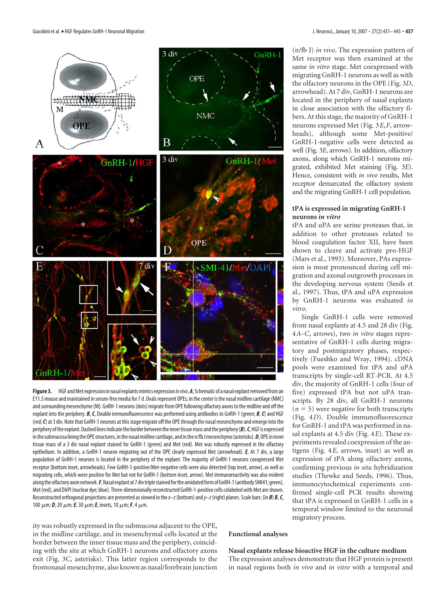

Figure 3. HGF and Met expression in nasal explants mimics expression *in vivo*. A, Schematic of a nasal explant removed from an E11.5 mouse and maintained inserum-free media for 7 d. Ovals represent OPEs; in the center is the nasal midline cartilage (NMC) andsurrounding mesenchyme (M). GnRH-1 neurons (dots) migrate from OPE following olfactory axons to the midline and off the explant into the periphery. *B*,*C*, Double immunofluorescence was performed using antibodies to GnRH-1 (green; *B*,*C*) and HGF (red;*C*) at 3 div. Note that GnRH-1 neurons at thisstage migrate off the OPE through the nasal mesenchyme and emerge into the periphery of the explant. Dashed lines indicate the border between the inner tissue mass and the periphery (B). C, HGF is expressed in the submucosa lining the OPE structures, in the nasal midline cartilage, and in the n/fb J mesenchyme (asterisks).  $D$ , OPE in inner tissue mass of a 3 div nasal explant stained for GnRH-1 (green) and Met (red). Met was robustly expressed in the olfactory epithelium. In addition, a GnRH-1 neuron migrating out of the OPE clearly expressed Met (arrowhead). *E*, At 7 div, a large population of GnRH-1 neurons is located in the periphery of the explant. The majority of GnRH-1 neurons coexpressed Met receptor (bottom inset, arrowheads). Few GnRH-1-positive/Met-negative cells were also detected (top inset, arrow), as well as migrating cells, which were positive for Met but not for GnRH-1 (bottom inset, arrow). Met immunoreactivity was also evident along the olfactory axon network. F, Nasal explant at 7 div triple stained for the amidated form of GnRH-1 (antibody SMI41; green), Met (red), and DAPI (nuclear dye; blue). Three-dimensionally reconstructed GnRH-1-positive cells colabeled with Met areshown. Reconstructed orthogonal projections are presented as viewed in the*x–z*(bottom) and*y–z*(right) planes. Scale bars: (in *B*) *B*,*C*, 100 μm; **D**, 20 μm; **E**, 30 μm; **E**, insets, 10 μm; **F**, 4 μm.

ity was robustly expressed in the submucosa adjacent to the OPE, in the midline cartilage, and in mesenchymal cells located at the border between the inner tissue mass and the periphery, coinciding with the site at which GnRH-1 neurons and olfactory axons exit (Fig. 3*C*, asterisks). This latter region corresponds to the frontonasal mesenchyme, also known as nasal/forebrain junction

(n/fb J) *in vivo*. The expression pattern of Met receptor was then examined at the same *in vitro* stage. Met coexpressed with migrating GnRH-1 neurons as well as with the olfactory neurons in the OPE (Fig. 3*D*, arrowhead). At 7 div, GnRH-1 neurons are located in the periphery of nasal explants in close association with the olfactory fibers. At this stage, the majority of GnRH-1 neurons expressed Met (Fig. 3*E*,*F*, arrowheads), although some Met-positive/ GnRH-1-negative cells were detected as well (Fig. 3*E*, arrows). In addition, olfactory axons, along which GnRH-1 neurons migrated, exhibited Met staining (Fig. 3*E*). Hence, consistent with *in vivo* results, Met receptor demarcated the olfactory system and the migrating GnRH-1 cell population.

# **tPA is expressed in migrating GnRH-1 neurons** *in vitro*

tPA and uPA are serine proteases that, in addition to other proteases related to blood coagulation factor XII, have been shown to cleave and activate pro-HGF (Mars et al., 1993). Moreover, PAs expression is most pronounced during cell migration and axonal outgrowth processes in the developing nervous system (Seeds et al., 1997). Thus, tPA and uPA expression by GnRH-1 neurons was evaluated *in vitro*.

Single GnRH-1 cells were removed from nasal explants at 4.5 and 28 div (Fig. 4*A–C*, arrows), two *in vitro* stages representative of GnRH-1 cells during migratory and postmigratory phases, respectively (Fueshko and Wray, 1994). cDNA pools were examined for tPA and uPA transcripts by single-cell RT-PCR. At 4.5 div, the majority of GnRH-1 cells (four of five) expressed tPA but not uPA transcripts. By 28 div, all GnRH-1 neurons  $(n = 5)$  were negative for both transcripts (Fig. 4*D*). Double immunofluorescence for GnRH-1 and tPA was performed in nasal explants at 4.5 div (Fig. 4*E*). These experiments revealed coexpression of the antigens (Fig. 4*E*, arrows, inset) as well as expression of tPA along olfactory axons, confirming previous *in situ* hybridization studies (Thewke and Seeds, 1996). Thus, immunocytochemical experiments confirmed single-cell PCR results showing that tPA is expressed in GnRH-1 cells in a temporal window limited to the neuronal migratory process.

# **Functional analyses**

## **Nasal explants release bioactive HGF in the culture medium**

The expression analyses demonstrate that HGF protein is present in nasal regions both *in vivo* and *in vitro* with a temporal and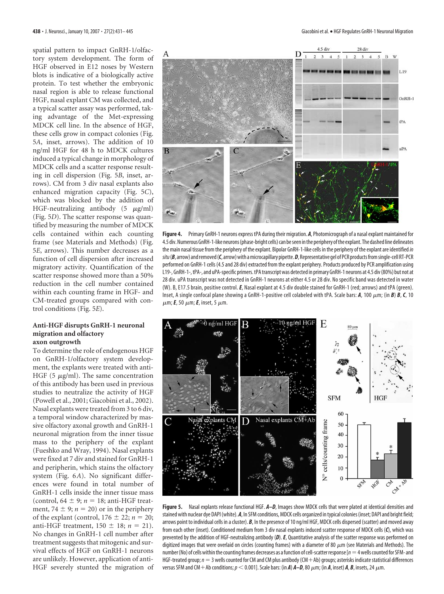spatial pattern to impact GnRH-1/olfactory system development. The form of HGF observed in E12 noses by Western blots is indicative of a biologically active protein. To test whether the embryonic nasal region is able to release functional HGF, nasal explant CM was collected, and a typical scatter assay was performed, taking advantage of the Met-expressing MDCK cell line. In the absence of HGF, these cells grow in compact colonies (Fig. 5*A*, inset, arrows). The addition of 10 ng/ml HGF for 48 h to MDCK cultures induced a typical change in morphology of MDCK cells and a scatter response resulting in cell dispersion (Fig. 5*B*, inset, arrows). CM from 3 div nasal explants also enhanced migration capacity (Fig. 5*C*), which was blocked by the addition of HGF-neutralizing antibody  $(5 \mu g/ml)$ (Fig. 5*D*). The scatter response was quantified by measuring the number of MDCK cells contained within each counting frame (see Materials and Methods) (Fig. 5*E*, arrows). This number decreases as a function of cell dispersion after increased migratory activity. Quantification of the scatter response showed more than a 50% reduction in the cell number contained within each counting frame in HGF- and CM-treated groups compared with control conditions (Fig. 5*E*).

# **Anti-HGF disrupts GnRH-1 neuronal migration and olfactory axon outgrowth**

To determine the role of endogenous HGF on GnRH-1/olfactory system development, the explants were treated with anti-HGF (5  $\mu$ g/ml). The same concentration of this antibody has been used in previous studies to neutralize the activity of HGF (Powell et al., 2001; Giacobini et al., 2002). Nasal explants were treated from 3 to 6 div, a temporal window characterized by massive olfactory axonal growth and GnRH-1 neuronal migration from the inner tissue mass to the periphery of the explant (Fueshko and Wray, 1994). Nasal explants were fixed at 7 div and stained for GnRH-1 and peripherin, which stains the olfactory system (Fig. 6*A*). No significant differences were found in total number of GnRH-1 cells inside the inner tissue mass (control,  $64 \pm 9$ ;  $n = 18$ ; anti-HGF treatment,  $74 \pm 9$ ;  $n = 20$ ) or in the periphery of the explant (control,  $176 \pm 22$ ;  $n = 20$ ; anti-HGF treatment,  $150 \pm 18$ ;  $n = 21$ ). No changes in GnRH-1 cell number after treatment suggests that mitogenic and survival effects of HGF on GnRH-1 neurons are unlikely. However, application of anti-HGF severely stunted the migration of



**Figure 4.** Primary GnRH-1 neurons express tPA during their migration. *A*, Photomicrograph of a nasal explant maintained for 4.5 div.NumerousGnRH-1-like neurons(phase-bright cells) can beseen inthe periphery ofthe explant. The dashed line delineates the main nasal tissue from the periphery of the explant. Bipolar GnRH-1-like cells in the periphery of the explant are identified*in* situ (B, arrow) and removed (C, arrow) with a microcapillary pipette. D, Representative gel of PCR products from single-cell RT-PCR performed on GnRH-1 cells (4.5 and 28 div) extracted from the explant periphery. Products produced by PCR amplification using L19-, GnRH-1-,tPA-, and uPA-specific primers.tPAtranscript was detected in primary GnRH-1 neurons at 4.5 div(80%) but not at 28 div. uPA transcript was not detected in GnRH-1 neurons at either 4.5 or 28 div. No specific band was detected in water (W). B, E17.5 brain, positive control.*E*, Nasal explant at 4.5 div double stained for GnRH-1 (red; arrows) and tPA (green). Inset, A single confocal plane showing a GnRH-1-positive cell colabeled with tPA. Scale bars: *A*, 100  $\mu$ m; (in *B*) *B*, *C*, 10  $\mu$ m; **E**, 50  $\mu$ m; **E**, inset, 5  $\mu$ m.



**Figure 5.** Nasal explants release functional HGF. *A–D*, Images show MDCK cells that were plated at identical densities and stained with nuclear dye DAPI (white). *A*, In SFM conditions, MDCK cells organized in typical colonies (inset; DAPI and bright field; arrows point to individual cells in a cluster). **B**, In the presence of 10 ng/ml HGF, MDCK cells dispersed (scatter) and moved away from each other (inset). Conditioned medium from 3 div nasal explants induced scatter response of MDCK cells (*C*), which was prevented by the addition of HGF-neutralizing antibody (*D*).*E*, Quantitative analysis of the scatter response was performed on digitized images that were overlaid on circles (counting frames) with a diameter of 80  $\mu$ m (see Materials and Methods). The number (No) of cells within the counting frames decreases as a function of cell-scatter response [ $n=4$  wells counted for SFM- and HGF-treated group;  $n = 3$  wells counted for CM and CM plus antibody (CM + Ab) groups; asterisks indicate statistical differences versus SFM and CM + Ab conditions;  $p < 0.001$ ]. Scale bars: (in *A*)  $A-D$ , 80  $\mu$ m; (in *A*, inset) *A*, *B*, insets, 24  $\mu$ m.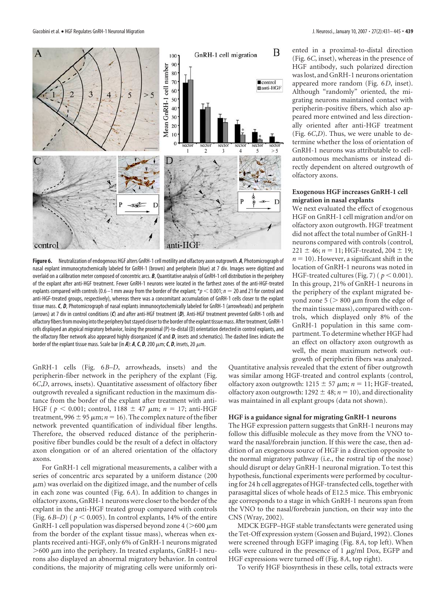

**Figure 6.** Neutralization of endogenous HGF alters GnRH-1 cell motility and olfactory axon outgrowth. *A*, Photomicrograph of nasal explant immunocytochemically labeled for GnRH-1 (brown) and peripherin (blue) at 7 div. Images were digitized and overlaid on a calibration meter composed of concentric arcs. *B*, Quantitative analysis of GnRH-1 cell distribution in the periphery of the explant after anti-HGF treatment. Fewer GnRH-1 neurons were located in the farthest zones of the anti-HGF-treated explants compared with controls (0.6 –1 mm away from the border of the explant;  $*_p$  < 0.001;  $n = 20$  and 21 for control and anti-HGF-treated groups, respectively), whereas there was a concomitant accumulation of GnRH-1 cells closer to the explant tissue mass. *C*, *D*, Photomicrograph of nasal explants immunocytochemically labeled for GnRH-1 (arrowheads) and peripherin (arrows) at 7 div in control conditions (*C*) and after anti-HGF treatment (*D*). Anti-HGF treatment prevented GnRH-1 cells and olfactory fibers from moving into the periphery but stayed closer to the border of the explant tissue mass. After treatment, GnRH-1 cells displayed an atypical migratory behavior, losing the proximal (P)-to-distal (D) orientation detected in control explants, and the olfactory fiber network also appeared highly disorganized (*C* and *D*, insets and schematics). The dashed lines indicate the border of the explant tissue mass. Scale bar (in A):  $A$ ,  $C$ ,  $D$ , 200  $\mu$ m;  $C$ ,  $D$ , insets, 20  $\mu$ m.

GnRH-1 cells (Fig. 6*B–D*, arrowheads, insets) and the peripherin-fiber network in the periphery of the explant (Fig. 6*C*,*D*, arrows, insets). Quantitative assessment of olfactory fiber outgrowth revealed a significant reduction in the maximum distance from the border of the explant after treatment with anti-HGF ( $p < 0.001$ ; control, 1188  $\pm$  47  $\mu$ m;  $n = 17$ ; anti-HGF treatment, 996  $\pm$  95  $\mu$ m; *n* = 16). The complex nature of the fiber network prevented quantification of individual fiber lengths. Therefore, the observed reduced distance of the peripherinpositive fiber bundles could be the result of a defect in olfactory axon elongation or of an altered orientation of the olfactory axons.

For GnRH-1 cell migrational measurements, a caliber with a series of concentric arcs separated by a uniform distance (200  $\mu$ m) was overlaid on the digitized image, and the number of cells in each zone was counted (Fig. 6*A*). In addition to changes in olfactory axons, GnRH-1 neurons were closer to the border of the explant in the anti-HGF treated group compared with controls (Fig.  $6B-D$ ) ( $p < 0.005$ ). In control explants, 14% of the entire GnRH-1 cell population was dispersed beyond zone 4 ( $>600 \mu m$ from the border of the explant tissue mass), whereas when explants received anti-HGF, only 6% of GnRH-1 neurons migrated  $>600 \mu$ m into the periphery. In treated explants, GnRH-1 neurons also displayed an abnormal migratory behavior. In control conditions, the majority of migrating cells were uniformly oriented in a proximal-to-distal direction (Fig. 6*C*, inset), whereas in the presence of HGF antibody, such polarized direction was lost, and GnRH-1 neurons orientation appeared more random (Fig. 6*D*, inset). Although "randomly" oriented, the migrating neurons maintained contact with peripherin-positive fibers, which also appeared more entwined and less directionally oriented after anti-HGF treatment (Fig. 6*C*,*D*). Thus, we were unable to determine whether the loss of orientation of GnRH-1 neurons was attributable to cellautonomous mechanisms or instead directly dependent on altered outgrowth of olfactory axons.

# **Exogenous HGF increases GnRH-1 cell migration in nasal explants**

We next evaluated the effect of exogenous HGF on GnRH-1 cell migration and/or on olfactory axon outgrowth. HGF treatment did not affect the total number of GnRH-1 neurons compared with controls (control,  $221 \pm 46$ ;  $n = 11$ ; HGF-treated,  $204 \pm 19$ ;  $n = 10$ ). However, a significant shift in the location of GnRH-1 neurons was noted in HGF-treated cultures (Fig. 7) ( $p < 0.001$ ). In this group, 21% of GnRH-1 neurons in the periphery of the explant migrated beyond zone 5 ( $> 800 \mu m$  from the edge of the main tissue mass), compared with controls, which displayed only 8% of the GnRH-1 population in this same compartment. To determine whether HGF had an effect on olfactory axon outgrowth as well, the mean maximum network outgrowth of peripherin fibers was analyzed.

Quantitative analysis revealed that the extent of fiber outgrowth was similar among HGF-treated and control explants (control, olfactory axon outgrowth:  $1215 \pm 57 \ \mu \text{m}$ ;  $n = 11$ ; HGF-treated, olfactory axon outgrowth:  $1292 \pm 48$ ;  $n = 10$ ), and directionality was maintained in all explant groups (data not shown).

## **HGF is a guidance signal for migrating GnRH-1 neurons**

The HGF expression pattern suggests that GnRH-1 neurons may follow this diffusible molecule as they move from the VNO toward the nasal/forebrain junction. If this were the case, then addition of an exogenous source of HGF in a direction opposite to the normal migratory pathway (i.e., the rostral tip of the nose) should disrupt or delay GnRH-1 neuronal migration. To test this hypothesis, functional experiments were performed by coculturing for 24 h cell aggregates of HGF-transfected cells, together with parasagittal slices of whole heads of E12.5 mice. This embryonic age corresponds to a stage in which GnRH-1 neurons span from the VNO to the nasal/forebrain junction, on their way into the CNS (Wray, 2002).

MDCK EGFP–HGF stable transfectants were generated using the Tet-Off expression system (Gossen and Bujard, 1992). Clones were screened through EGFP imaging (Fig. 8*A*, top left). When cells were cultured in the presence of  $1 \mu g/ml$  Dox, EGFP and HGF expressions were turned off (Fig. 8*A*, top right).

To verify HGF biosynthesis in these cells, total extracts were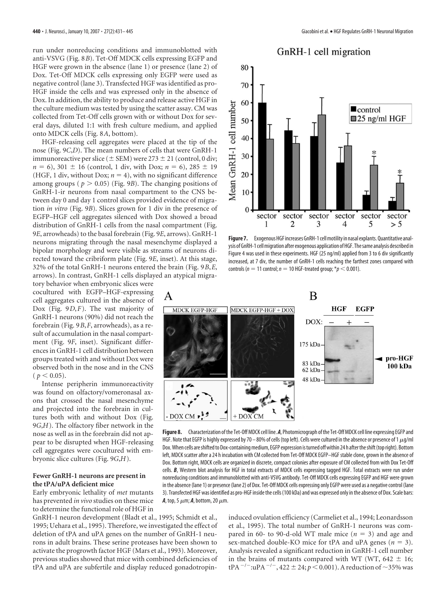run under nonreducing conditions and immunoblotted with anti-VSVG (Fig. 8*B*). Tet-Off MDCK cells expressing EGFP and HGF were grown in the absence (lane 1) or presence (lane 2) of Dox. Tet-Off MDCK cells expressing only EGFP were used as negative control (lane 3). Transfected HGF was identified as pro-HGF inside the cells and was expressed only in the absence of Dox. In addition, the ability to produce and release active HGF in the culture medium was tested by using the scatter assay. CM was collected from Tet-Off cells grown with or without Dox for several days, diluted 1:1 with fresh culture medium, and applied onto MDCK cells (Fig. 8*A*, bottom).

HGF-releasing cell aggregates were placed at the tip of the nose (Fig. 9*C*,*D*). The mean numbers of cells that were GnRH-1 immunoreactive per slice ( $\pm$  SEM) were 273  $\pm$  21 (control, 0 div;  $n = 6$ , 301  $\pm$  16 (control, 1 div, with Dox;  $n = 6$ ), 285  $\pm$  19 (HGF, 1 div, without Dox;  $n = 4$ ), with no significant difference among groups ( $p > 0.05$ ) (Fig. 9*B*). The changing positions of GnRH-1-ir neurons from nasal compartment to the CNS between day 0 and day 1 control slices provided evidence of migration *in vitro* (Fig. 9*B*). Slices grown for 1 div in the presence of EGFP–HGF cell aggregates silenced with Dox showed a broad distribution of GnRH-1 cells from the nasal compartment (Fig. 9*E*, arrowheads) to the basal forebrain (Fig. 9*E*, arrows). GnRH-1 neurons migrating through the nasal mesenchyme displayed a bipolar morphology and were visible as streams of neurons directed toward the cribriform plate (Fig. 9*E*, inset). At this stage, 32% of the total GnRH-1 neurons entered the brain (Fig. 9*B*,*E*, arrows). In contrast, GnRH-1 cells displayed an atypical migra-

tory behavior when embryonic slices were cocultured with EGFP–HGF-expressing cell aggregates cultured in the absence of Dox (Fig. 9*D*,*F*). The vast majority of GnRH-1 neurons (90%) did not reach the forebrain (Fig. 9*B*,*F*, arrowheads), as a result of accumulation in the nasal compartment (Fig. 9*F*, inset). Significant differences in GnRH-1 cell distribution between groups treated with and without Dox were observed both in the nose and in the CNS  $(p < 0.05)$ .

Intense peripherin immunoreactivity was found on olfactory/vomeronasal axons that crossed the nasal mesenchyme and projected into the forebrain in cultures both with and without Dox (Fig. 9*G*,*H*). The olfactory fiber network in the nose as well as in the forebrain did not appear to be disrupted when HGF-releasing cell aggregates were cocultured with embryonic slice cultures (Fig. 9*G*,*H*).

# **Fewer GnRH-1 neurons are present in the tPA/uPA deficient mice**

Early embryonic lethality of *met* mutants has prevented *in vivo* studies on these mice to determine the functional role of HGF in

GnRH-1 neuron development (Bladt et al., 1995; Schmidt et al., 1995; Uehara et al., 1995). Therefore, we investigated the effect of deletion of tPA and uPA genes on the number of GnRH-1 neurons in adult brains. These serine proteases have been shown to activate the progrowth factor HGF (Mars et al., 1993). Moreover, previous studies showed that mice with combined deficiencies of tPA and uPA are subfertile and display reduced gonadotropin-



Figure 7. Exogenous HGF increases GnRH-1 cell motility in nasal explants. Quantitative analysis ofGnRH-1 cellmigration after exogenous application ofHGF. Thesame analysis described in Figure 4 was used in these experiments. HGF (25 ng/ml) applied from 3 to 6 div significantly increased, at 7 div, the number of GnRH-1 cells reaching the farthest zones compared with controls ( $n = 11$  control;  $n = 10$  HGF-treated group; \* $p < 0.001$ ).



**Figure 8.** Characterization ofthe Tet-Off MDCK cell line. *A*, Photomicrograph ofthe Tet-Off MDCK cell line expressing EGFP and HGF. Note that EGFP is highly expressed by 70 – 80% of cells (top left). Cells were cultured in the absence or presence of 1  $\mu$ g/ml Dox. When cells are shifted to Dox-containing medium, EGFP expression is turned off within 24 h after the shift (top right). Bottom left, MDCK scatter after a 24 h incubation with CM collected from Tet-Off MDCK EGFP–HGF stable clone, grown in the absence of Dox. Bottom right, MDCK cells are organized in discrete, compact colonies after exposure of CM collected from with Dox Tet-Off cells. *B*, Western blot analysis for HGF in total extracts of MDCK cells expressing tagged HGF. Total extracts were run under nonreducing conditions and immunoblotted with anti-VSVG antibody. Tet-Off MDCK cells expressing EGFP and HGF were grown in the absence (lane 1) or presence (lane 2) of Dox. Tet-Off MDCK cells expressing only EGFP were used as a negative control (lane 3). Transfected HGF was identified as pro-HGF inside the cells (100 kDa) and was expressed only in the absence of Dox. Scale bars:  $A$ , top, 5  $\mu$ m;  $A$ , bottom, 20  $\mu$ m.

induced ovulation efficiency (Carmeliet et al., 1994; Leonardsson et al., 1995). The total number of GnRH-1 neurons was compared in 60- to 90-d-old WT male mice  $(n = 3)$  and age and sex-matched double-KO mice for tPA and uPA genes  $(n = 3)$ . Analysis revealed a significant reduction in GnRH-1 cell number in the brains of mutants compared with WT (WT, 642  $\pm$  16; tPA<sup> $-/-$ </sup>:uPA<sup> $-/-$ </sup>, 422  $\pm$  24;  $p < 0.001$ ). A reduction of  $\sim$ 35% was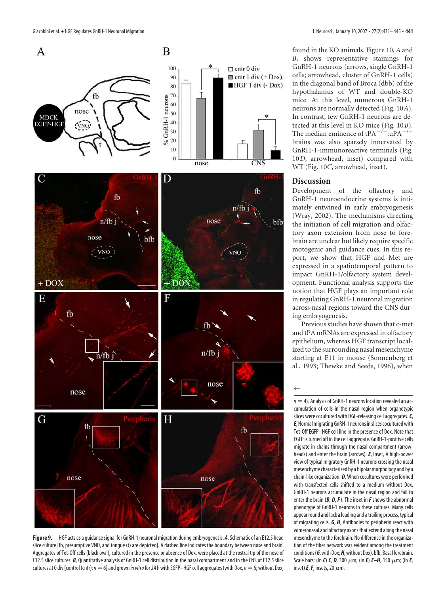

**Figure 9.** HGF acts as a guidancesignal for GnRH-1 neuronal migration during embryogenesis. *A*, Schematic of an E12.5 head slice culture [fb, presumptive VNO, and tongue (t) are depicted]. A dashed line indicates the boundary between nose and brain. Aggregates of Tet-Off cells (black oval), cultured in the presence or absence of Dox, were placed at the rostral tip of the nose of E12.5 slice cultures. *B*, Quantitative analysis of GnRH-1 cell distribution in the nasal compartment and in the CNS of E12.5 slice cultures at 0 div [control (cntr);  $n=6$ ] and grown *in vitro* for 24 h with EGFP–HGF cell aggregates (with Dox,  $n=6$ ; without Dox,

found in the KO animals. Figure 10, *A* and *B*, shows representative stainings for GnRH-1 neurons (arrows, single GnRH-1 cells; arrowhead, cluster of GnRH-1 cells) in the diagonal band of Broca (dbb) of the hypothalamus of WT and double-KO mice. At this level, numerous GnRH-1 neurons are normally detected (Fig. 10*A*). In contrast, few GnRH-1 neurons are detected at this level in KO mice (Fig. 10*B*). The median eminence of tPA $^{-/-}$ :uPA $^{-/-}$ brains was also sparsely innervated by GnRH-1-immunoreactive terminals (Fig. 10*D*, arrowhead, inset) compared with WT (Fig. 10*C*, arrowhead, inset).

# **Discussion**

 $\leftarrow$ 

Development of the olfactory and GnRH-1 neuroendocrine systems is intimately entwined in early embryogenesis (Wray, 2002). The mechanisms directing the initiation of cell migration and olfactory axon extension from nose to forebrain are unclear but likely require specific motogenic and guidance cues. In this report, we show that HGF and Met are expressed in a spatiotemporal pattern to impact GnRH-1/olfactory system development. Functional analysis supports the notion that HGF plays an important role in regulating GnRH-1 neuronal migration across nasal regions toward the CNS during embryogenesis.

Previous studies have shown that c-met and tPA mRNAs are expressed in olfactory epithelium, whereas HGF transcript localized to the surrounding nasal mesenchyme starting at E11 in mouse (Sonnenberg et al., 1993; Thewke and Seeds, 1996), when

 $n = 4$ ). Analysis of GnRH-1 neurons location revealed an accumulation of cells in the nasal region when organotypic slices were cocultured with HGF-releasing cell aggregates.*C*, **E**, Normal migrating GnRH-1 neurons in slices cocultured with Tet-Off EGFP–HGF cell line in the presence of Dox. Note that EGFP is turned off in the cell aggregate. GnRH-1-positive cells migrate in chains through the nasal compartment (arrowheads) and enter the brain (arrows). *E*, Inset, A high-power view of typical migratory GnRH-1 neurons crossing the nasal mesenchyme characterized by a bipolar morphology and by a chain-like organization. *D*, When cocultures were performed with transfected cells shifted to a medium without Dox, GnRH-1 neurons accumulate in the nasal region and fail to enter the brain (*B*, *D*, *F*). The inset in *F* shows the abnormal phenotype of GnRH-1 neurons in these cultures. Many cells appear round and lack a leading and a trailing process, typical of migrating cells. *G*, *H*, Antibodies to peripherin react with vomeronasal and olfactory axons that extend along the nasal mesenchyme to the forebrain. No difference in the organization of the fiber network was evident among the treatment conditions (G, with Dox; *H*, without Dox). bfb, Basal forebrain. Scale bars: (in *C*) *C*, *D*, 300  $\mu$ m; (in *E*) *E–H*, 150  $\mu$ m; (in *E*, inset)  $E$ ,  $F$ , insets, 20  $\mu$ m.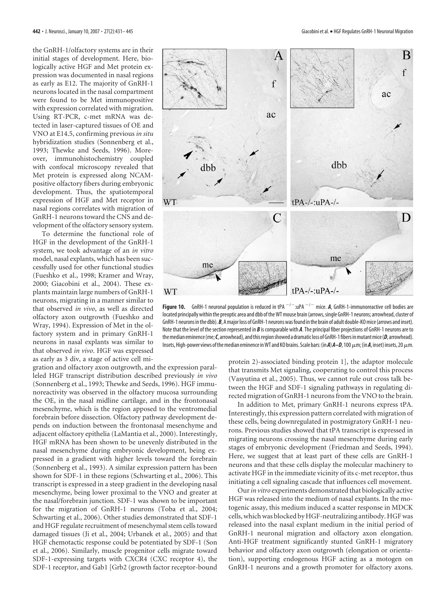the GnRH-1/olfactory systems are in their initial stages of development. Here, biologically active HGF and Met protein expression was documented in nasal regions as early as E12. The majority of GnRH-1 neurons located in the nasal compartment were found to be Met immunopositive with expression correlated with migration. Using RT-PCR, c-met mRNA was detected in laser-captured tissues of OE and VNO at E14.5, confirming previous *in situ* hybridization studies (Sonnenberg et al., 1993; Thewke and Seeds, 1996). Moreover, immunohistochemistry coupled with confocal microscopy revealed that Met protein is expressed along NCAMpositive olfactory fibers during embryonic development. Thus, the spatiotemporal expression of HGF and Met receptor in nasal regions correlates with migration of GnRH-1 neurons toward the CNS and development of the olfactory sensory system.

To determine the functional role of HGF in the development of the GnRH-1 system, we took advantage of an *in vitro* model, nasal explants, which has been successfully used for other functional studies (Fueshko et al., 1998; Kramer and Wray, 2000; Giacobini et al., 2004). These explants maintain large numbers of GnRH-1 neurons, migrating in a manner similar to that observed *in vivo*, as well as directed olfactory axon outgrowth (Fueshko and Wray, 1994). Expression of Met in the olfactory system and in primary GnRH-1 neurons in nasal explants was similar to that observed *in vivo*. HGF was expressed as early as 3 div, a stage of active cell mi-

![](_page_11_Figure_3.jpeg)

![](_page_11_Figure_5.jpeg)

**Figure 10.** GnRH-1 neuronal population is reduced in tPA  $^{-/-}$  :uPA  $^{-/-}$  mice. *A*, GnRH-1-immunoreactive cell bodies are located principally within the preoptic area and dbb of the WT mouse brain (arrows, single GnRH-1 neurons; arrowhead, cluster of GnRH-1 neurons inthe dbb).*B*, Amajor loss of GnRH-1 neurons wasfound inthe brain of adult double-KOmice(arrows and inset). Note that the level of the section represented in *B* is comparable with *A*. The principal fiber projections of GnRH-1 neurons are to the median eminence (me; C, arrowhead), and this region showed a dramatic loss of GnRH-1 fibers in mutant mice (D, arrowhead). Insets, High-power views of the median eminence in WT and KO brains. Scale bars: (in A) A–D, 100 μm; (in A, inset) insets, 20 μm.

protein 2)-associated binding protein 1], the adaptor molecule that transmits Met signaling, cooperating to control this process (Vasyutina et al., 2005). Thus, we cannot rule out cross talk between the HGF and SDF-1 signaling pathways in regulating directed migration of GnRH-1 neurons from the VNO to the brain.

In addition to Met, primary GnRH-1 neurons express tPA. Interestingly, this expression pattern correlated with migration of these cells, being downregulated in postmigratory GnRH-1 neurons. Previous studies showed that tPA transcript is expressed in migrating neurons crossing the nasal mesenchyme during early stages of embryonic development (Friedman and Seeds, 1994). Here, we suggest that at least part of these cells are GnRH-1 neurons and that these cells display the molecular machinery to activate HGF in the immediate vicinity of its c-met receptor, thus initiating a cell signaling cascade that influences cell movement.

Our*in vitro* experiments demonstrated that biologically active HGF was released into the medium of nasal explants. In the motogenic assay, this medium induced a scatter response in MDCK cells, which was blocked by HGF-neutralizing antibody. HGF was released into the nasal explant medium in the initial period of GnRH-1 neuronal migration and olfactory axon elongation. Anti-HGF treatment significantly stunted GnRH-1 migratory behavior and olfactory axon outgrowth (elongation or orientation), supporting endogenous HGF acting as a motogen on GnRH-1 neurons and a growth promoter for olfactory axons.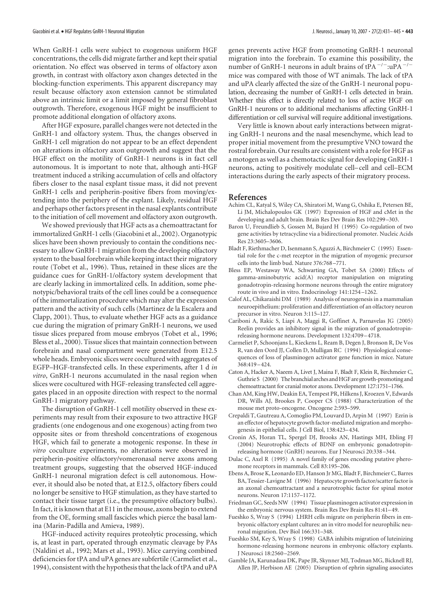When GnRH-1 cells were subject to exogenous uniform HGF concentrations, the cells did migrate farther and kept their spatial orientation. No effect was observed in terms of olfactory axon growth, in contrast with olfactory axon changes detected in the blocking-function experiments. This apparent discrepancy may result because olfactory axon extension cannot be stimulated above an intrinsic limit or a limit imposed by general fibroblast outgrowth. Therefore, exogenous HGF might be insufficient to promote additional elongation of olfactory axons.

After HGF exposure, parallel changes were not detected in the GnRH-1 and olfactory system. Thus, the changes observed in GnRH-1 cell migration do not appear to be an effect dependent on alterations in olfactory axon outgrowth and suggest that the HGF effect on the motility of GnRH-1 neurons is in fact cell autonomous. It is important to note that, although anti-HGF treatment induced a striking accumulation of cells and olfactory fibers closer to the nasal explant tissue mass, it did not prevent GnRH-1 cells and peripherin-positive fibers from moving/extending into the periphery of the explant. Likely, residual HGF and perhaps other factors present in the nasal explants contribute to the initiation of cell movement and olfactory axon outgrowth.

We showed previously that HGF acts as a chemoattractant for immortalized GnRH-1 cells (Giacobini et al., 2002). Organotypic slices have been shown previously to contain the conditions necessary to allow GnRH-1 migration from the developing olfactory system to the basal forebrain while keeping intact their migratory route (Tobet et al., 1996). Thus, retained in these slices are the guidance cues for GnRH-1/olfactory system development that are clearly lacking in immortalized cells. In addition, some phenotypic/behavioral traits of the cell lines could be a consequence of the immortalization procedure which may alter the expression pattern and the activity of such cells (Martinez de la Escalera and Clapp, 2001). Thus, to evaluate whether HGF acts as a guidance cue during the migration of primary GnRH-1 neurons, we used tissue slices prepared from mouse embryos (Tobet et al., 1996; Bless et al., 2000). Tissue slices that maintain connection between forebrain and nasal compartment were generated from E12.5 whole heads. Embryonic slices were cocultured with aggregates of EGFP–HGF-transfected cells. In these experiments, after 1 d *in vitro*, GnRH-1 neurons accumulated in the nasal region when slices were cocultured with HGF-releasing transfected cell aggregates placed in an opposite direction with respect to the normal GnRH-1 migratory pathway.

The disruption of GnRH-1 cell motility observed in these experiments may result from their exposure to two attractive HGF gradients (one endogenous and one exogenous) acting from two opposite sites or from threshold concentrations of exogenous HGF, which fail to generate a motogenic response. In these *in vitro* coculture experiments, no alterations were observed in peripherin-positive olfactory/vomeronasal nerve axons among treatment groups, suggesting that the observed HGF-induced GnRH-1 neuronal migration defect is cell autonomous. However, it should also be noted that, at E12.5, olfactory fibers could no longer be sensitive to HGF stimulation, as they have started to contact their tissue target (i.e., the presumptive olfactory bulbs). In fact, it is known that at E11 in the mouse, axons begin to extend from the OE, forming small fascicles which pierce the basal lamina (Marin-Padilla and Amieva, 1989).

HGF-induced activity requires proteolytic processing, which is, at least in part, operated through enzymatic cleavage by PAs (Naldini et al., 1992; Mars et al., 1993). Mice carrying combined deficiencies for tPA and uPA genes are subfertile (Carmeliet et al., 1994), consistent with the hypothesis that the lack of tPA and uPA

genes prevents active HGF from promoting GnRH-1 neuronal migration into the forebrain. To examine this possibility, the number of GnRH-1 neurons in adult brains of tPA<sup> $-/-$ </sup>:uPA<sup> $-/-$ </sup> mice was compared with those of WT animals. The lack of tPA and uPA clearly affected the size of the GnRH-1 neuronal population, decreasing the number of GnRH-1 cells detected in brain. Whether this effect is directly related to loss of active HGF on GnRH-1 neurons or to additional mechanisms affecting GnRH-1 differentiation or cell survival will require additional investigations.

Very little is known about early interactions between migrating GnRH-1 neurons and the nasal mesenchyme, which lead to proper initial movement from the presumptive VNO toward the rostral forebrain. Our results are consistent with a role for HGF as a motogen as well as a chemotactic signal for developing GnRH-1 neurons, acting to positively modulate cell– cell and cell–ECM interactions during the early aspects of their migratory process.

## **References**

- Achim CL, Katyal S, Wiley CA, Shiratori M, Wang G, Oshika E, Petersen BE, Li JM, Michalopoulos GK (1997) Expression of HGF and cMet in the developing and adult brain. Brain Res Dev Brain Res 102:299 –303.
- Baron U, Freundlieb S, Gossen M, Bujard H (1995) Co-regulation of two gene activities by tetracycline via a bidirectional promoter. Nucleic Acids Res 23:3605–3606.
- Bladt F, Riethmacher D, Isenmann S, Aguzzi A, Birchmeier C (1995) Essential role for the c-met receptor in the migration of myogenic precursor cells into the limb bud. Nature 376:768 –771.
- Bless EP, Westaway WA, Schwarting GA, Tobet SA (2000) Effects of gamma-aminobutyric acid(A) receptor manipulation on migrating gonadotropin-releasing hormone neurons through the entire migratory route in vivo and in vitro. Endocrinology 141:1254 –1262.
- Calof AL, Chikaraishi DM (1989) Analysis of neurogenesis in a mammalian neuroepithelium: proliferation and differentiation of an olfactory neuron precursor in vitro. Neuron 3:115–127.
- Cariboni A, Rakic S, Liapi A, Maggi R, Goffinet A, Parnavelas JG (2005) Reelin provides an inhibitory signal in the migration of gonadotropinreleasing hormone neurons. Development 132:4709 –4718.
- Carmeliet P, Schoonjans L, Kieckens L, Ream B, Degen J, Bronson R, De Vos R, van den Oord JJ, Collen D, Mulligan RC (1994) Physiological consequences of loss of plasminogen activator gene function in mice. Nature 368:419 –424.
- Caton A, Hacker A, Naeem A, Livet J, Maina F, Bladt F, Klein R, Birchmeier C, Guthrie S (2000) The branchial arches and HGF are growth-promoting and chemoattractant for cranial motor axons. Development 127:1751–1766.
- Chan AM, King HW, Deakin EA, Tempest PR, Hilkens J, Kroezen V, Edwards DR, Wills AJ, Brookes P, Cooper CS (1988) Characterization of the mouse met proto-oncogene. Oncogene 2:593–599.
- Crepaldi T, Gautreau A, Comoglio PM, Louvard D, Arpin M (1997) Ezrin is an effector of hepatocyte growth factor-mediated migration and morphogenesis in epithelial cells. J Cell Biol, 138:423–434.
- Cronin AS, Horan TL, Spergel DJ, Brooks AN, Hastings MH, Ebling FJ (2004) Neurotrophic effects of BDNF on embryonic gonadotropinreleasing hormone (GnRH) neurons. Eur J Neurosci 20:338 –344.
- Dulac C, Axel R (1995) A novel family of genes encoding putative pheromone receptors in mammals. Cell 83:195–206.
- Ebens A, Brose K, Leonardo ED, Hanson Jr MG, Bladt F, Birchmeier C, Barres BA, Tessier-Lavigne M (1996) Hepatocyte growth factor/scatter factor is an axonal chemoattractant and a neurotrophic factor for spinal motor neurons. Neuron 17:1157–1172.
- Friedman GC, Seeds NW (1994) Tissue plasminogen activator expression in the embryonic nervous system. Brain Res Dev Brain Res 81:41–49.
- Fueshko S, Wray S (1994) LHRH cells migrate on peripherin fibers in embryonic olfactory explant cultures: an in vitro model for neurophilic neuronal migration. Dev Biol 166:331–348.
- Fueshko SM, Key S, Wray S (1998) GABA inhibits migration of luteinizing hormone-releasing hormone neurons in embryonic olfactory explants. J Neurosci 18:2560 –2569.
- Gamble JA, Karunadasa DK, Pape JR, Skynner MJ, Todman MG, Bicknell RJ, Allen JP, Herbison AE (2005) Disruption of ephrin signaling associates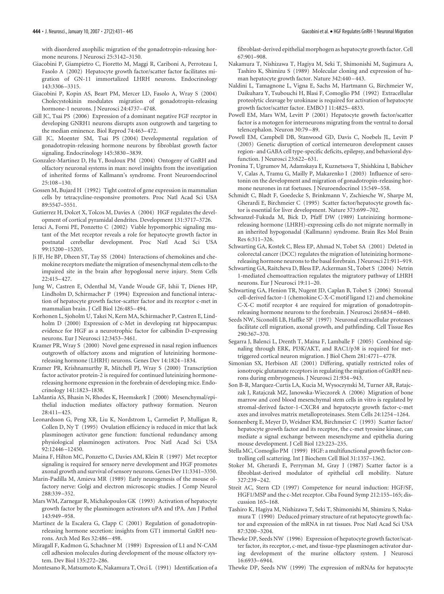with disordered axophilic migration of the gonadotropin-releasing hormone neurons. J Neurosci 25:3142–3150.

- Giacobini P, Giampietro C, Fioretto M, Maggi R, Cariboni A, Perroteau I, Fasolo A (2002) Hepatocyte growth factor/scatter factor facilitates migration of GN-11 immortalized LHRH neurons. Endocrinology 143:3306 –3315.
- Giacobini P, Kopin AS, Beart PM, Mercer LD, Fasolo A, Wray S (2004) Cholecystokinin modulates migration of gonadotropin-releasing hormone-1 neurons. J Neurosci 24:4737–4748.
- Gill JC, Tsai PS (2006) Expression of a dominant negative FGF receptor in developing GNRH1 neurons disrupts axon outgrowth and targeting to the median eminence. Biol Reprod 74:463–472.
- Gill JC, Moenter SM, Tsai PS (2004) Developmental regulation of gonadotropin-releasing hormone neurons by fibroblast growth factor signaling. Endocrinology 145:3830 –3839.
- Gonzalez-Martinez D, Hu Y, Bouloux PM (2004) Ontogeny of GnRH and olfactory neuronal systems in man: novel insights from the investigation of inherited forms of Kallmann's syndrome. Front Neuroendocrinol 25:108 –130.
- Gossen M, Bujard H (1992) Tight control of gene expression in mammalian cells by tetracycline-responsive promoters. Proc Natl Acad Sci USA 89:5547–5551.
- Gutierrez H, Dolcet X, Tolcos M, Davies A (2004) HGF regulates the development of cortical pyramidal dendrites. Development 131:3717–3726.
- Ieraci A, Forni PE, Ponzetto C (2002) Viable hypomorphic signaling mutant of the Met receptor reveals a role for hepatocyte growth factor in postnatal cerebellar development. Proc Natl Acad Sci USA 99:15200 –15205.
- Ji JF, He BP, Dheen ST, Tay SS (2004) Interactions of chemokines and chemokine receptors mediate the migration of mesenchymal stem cells to the impaired site in the brain after hypoglossal nerve injury. Stem Cells 22:415–427.
- Jung W, Castren E, Odenthal M, Vande Woude GF, Ishii T, Dienes HP, Lindholm D, Schirmacher P (1994) Expression and functional interaction of hepatocyte growth factor-scatter factor and its receptor c-met in mammalian brain. J Cell Biol 126:485–494.
- Korhonen L, Sjoholm U, Takei N, Kern MA, Schirmacher P, Castren E, Lindholm D (2000) Expression of c-Met in developing rat hippocampus: evidence for HGF as a neurotrophic factor for calbindin D-expressing neurons. Eur J Neurosci 12:3453–3461.
- Kramer PR, Wray S (2000) Novel gene expressed in nasal region influences outgrowth of olfactory axons and migration of luteinizing hormonereleasing hormone (LHRH) neurons. Genes Dev 14:1824 –1834.
- Kramer PR, Krishnamurthy R, Mitchell PJ, Wray S (2000) Transcription factor activator protein-2 is required for continued luteinizing hormonereleasing hormone expression in the forebrain of developing mice. Endocrinology 141:1823–1838.
- LaMantia AS, Bhasin N, Rhodes K, Heemskerk J (2000) Mesenchymal/epithelial induction mediates olfactory pathway formation. Neuron 28:411–425.
- Leonardsson G, Peng XR, Liu K, Nordstrom L, Carmeliet P, Mulligan R, Collen D, Ny T (1995) Ovulation efficiency is reduced in mice that lack plasminogen activator gene function: functional redundancy among physiological plasminogen activators. Proc Natl Acad Sci USA 92:12446 –12450.
- Maina F, Hilton MC, Ponzetto C, Davies AM, Klein R (1997) Met receptor signaling is required for sensory nerve development and HGF promotes axonal growth and survival of sensory neurons. Genes Dev 11:3341–3350.
- Marin-Padilla M, Amieva MR (1989) Early neurogenesis of the mouse olfactory nerve: Golgi and electron microscopic studies. J Comp Neurol 288:339 –352.
- Mars WM, Zarnegar R, Michalopoulos GK (1993) Activation of hepatocyte growth factor by the plasminogen activators uPA and tPA. Am J Pathol 143:949 –958.
- Martinez de la Escalera G, Clapp C (2001) Regulation of gonadotropinreleasing hormone secretion: insights from GT1 immortal GnRH neurons. Arch Med Res 32:486 –498.
- Miragall F, Kadmon G, Schachner M (1989) Expression of L1 and N-CAM cell adhesion molecules during development of the mouse olfactory system. Dev Biol 135:272–286.
- Montesano R, Matsumoto K, Nakamura T, Orci L (1991) Identification of a

fibroblast-derived epithelial morphogen as hepatocyte growth factor. Cell 67:901–908.

- Nakamura T, Nishizawa T, Hagiya M, Seki T, Shimonishi M, Sugimura A, Tashiro K, Shimizu S (1989) Molecular cloning and expression of human hepatocyte growth factor. Nature 342:440 –443.
- Naldini L, Tamagnone L, Vigna E, Sachs M, Hartmann G, Birchmeier W, Daikuhara Y, Tsubouchi H, Blasi F, Comoglio PM (1992) Extracellular proteolytic cleavage by urokinase is required for activation of hepatocyte growth factor/scatter factor. EMBO J 11:4825–4833.
- Powell EM, Mars WM, Levitt P (2001) Hepatocyte growth factor/scatter factor is a motogen for interneurons migrating from the ventral to dorsal telencephalon. Neuron 30:79 –89.
- Powell EM, Campbell DB, Stanwood GD, Davis C, Noebels JL, Levitt P (2003) Genetic disruption of cortical interneuron development causes region- and GABA cell type-specific deficits, epilepsy, and behavioral dysfunction. J Neurosci 23:622–631.
- Pronina T, Ugrumov M, Adamskaya E, Kuznetsova T, Shishkina I, Babichev V, Calas A, Tramu G, Mailly P, Makarenko I (2003) Influence of serotonin on the development and migration of gonadotropin-releasing hormone neurones in rat foetuses. J Neuroendocrinol 15:549 –558.
- Schmidt C, Bladt F, Goedecke S, Brinkmann V, Zschiesche W, Sharpe M, Gherardi E, Birchmeier C (1995) Scatter factor/hepatocyte growth factor is essential for liver development. Nature 373:699 –702.
- Schwanzel-Fukuda M, Bick D, Pfaff DW (1989) Luteinizing hormonereleasing hormone (LHRH)-expressing cells do not migrate normally in an inherited hypogonadal (Kallmann) syndrome. Brain Res Mol Brain Res 6:311–326.
- Schwarting GA, Kostek C, Bless EP, Ahmad N, Tobet SA (2001) Deleted in colorectal cancer (DCC) regulates the migration of luteinizing hormonereleasing hormone neurons to the basal forebrain. J Neurosci 21:911–919.
- Schwarting GA, Raitcheva D, Bless EP, Ackerman SL, Tobet S (2004) Netrin 1-mediated chemoattraction regulates the migratory pathway of LHRH neurons. Eur J Neurosci 19:11–20.
- Schwarting GA, Henion TR, Nugent JD, Caplan B, Tobet S (2006) Stromal cell-derived factor-1 (chemokine C-X-C motif ligand 12) and chemokine C-X-C motif receptor 4 are required for migration of gonadotropinreleasing hormone neurons to the forebrain. J Neurosci 26:6834 –6840.
- Seeds NW, Siconolfi LB, Haffke SP (1997) Neuronal extracellular proteases facilitate cell migration, axonal growth, and pathfinding. Cell Tissue Res 290:367–370.
- Segarra J, Balenci L, Drenth T, Maina F, Lamballe F (2005) Combined signaling through ERK, PI3K/AKT, and RAC1/p38 is required for mettriggered cortical neuron migration. J Biol Chem 281:4771–4778.
- Simonian SX, Herbison AE (2001) Differing, spatially restricted roles of ionotropic glutamate receptors in regulating the migration of GnRH neurons during embryogenesis. J Neurosci 21:934 –943.
- Son B-R, Marquez-Curtis LA, Kucia M, Wysoczynski M, Turner AR, Ratajczak J, Ratajczak MZ, Janowska-Wieczorek A (2006) Migration of bone marrow and cord blood mesenchymal stem cells in vitro is regulated by stromal-derived factor-1-CXCR4 and hepatocyte growth factor-c-met axes and involves matrix metalloproteinases. Stem Cells 24:1254 –1264.
- Sonnenberg E, Meyer D, Weidner KM, Birchmeier C (1993) Scatter factor/ hepatocyte growth factor and its receptor, the c-met tyrosine kinase, can mediate a signal exchange between mesenchyme and epithelia during mouse development. J Cell Biol 123:223–235.
- Stella MC, Comoglio PM (1999) HGF: a multifunctional growth factor controlling cell scattering. Int J Biochem Cell Biol 31:1357–1362.
- Stoker M, Gherardi E, Perryman M, Gray J (1987) Scatter factor is a fibroblast-derived modulator of epithelial cell mobility. Nature 327:239 –242.
- Streit AC, Stern CD (1997) Competence for neural induction: HGF/SF, HGF1/MSP and the c-Met receptor. Ciba Found Symp 212:155–165; discussion 165–168.
- Tashiro K, Hagiya M, Nishizawa T, Seki T, Shimonishi M, Shimizu S, Nakamura T (1990) Deduced primary structure of rat hepatocyte growth factor and expression of the mRNA in rat tissues. Proc Natl Acad Sci USA 87:3200 –3204.
- Thewke DP, Seeds NW (1996) Expression of hepatocyte growth factor/scatter factor, its receptor, c-met, and tissue-type plasminogen activator during development of the murine olfactory system. J Neurosci 16:6933–6944.
- Thewke DP, Seeds NW (1999) The expression of mRNAs for hepatocyte